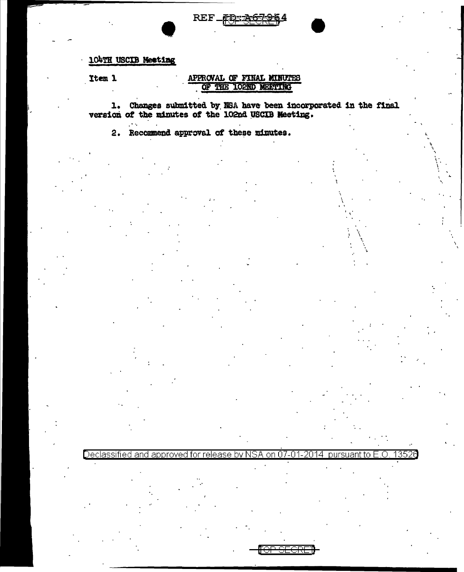# REF\_FD: 26

# 104TH USCIB Meeting

Item 1

## APPROVAL OF FINAL MINUTES OF THE IO2ND MEETING

1. Changes submitted by NSA have been incorporated in the final version of the minutes of the 102nd USCIB Meeting.

Declassified and approved for release by NSA on 07-01-2014 pursuant to E.O.

13526

2. Recommend approval of these minutes.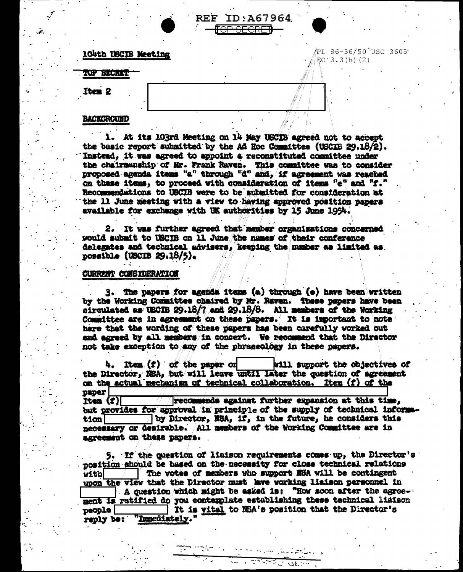## 104th USCIB Meeting

TOP SECRET

PL 86-36/50 USC 3605  $FO:3.3(h)$  (2)

#### **BACKGROUND**

Iten 2

1. At its 103rd Meeting on 14 May USCIB agreed not to accept the basic report submitted by the Ad Hoc Committee (USCIB 29.18/2). Instead, it was agreed to appoint a reconstituted committee under the chairmanship of Mr. Frank Raven. This committee was to consider proposed agenda items "a" through "d" and, if agreement was reached on these items, to proceed with consideration of items "e" and "f." Recommendations to USCIB were to be submitted for consideration at the 11 June meeting with a view to having approved position papers available for exchange with UK authorities by 15 June 1954.

**REF ID:A67964** <del>OP SECRET</del>

2. It was further agreed that member organizations concerned would submit to USCIB on 11 June the names of their conference delegates and technical advisers. keeping the number as limited as possible (USCIB  $29.18/5$ ).

## **CURRENT CONSIDERATION**

3. The papers for agenda items (a) through (e) have been written by the Working Committee chaired by Mr. Raven. These papers have been circulated as USCIB 29.18/7 and 29.18/8. All members of the Working Committee are in agreement on these papers. It is important to note here that the wording of these papers has been carefully worked out and agreed by all members in concert. We recommend that the Director not take exception to any of the phraseology in these papers.

4. Item (f) of the paper on will support the objectives of the Director, NSA, but will leave until later the question of agreement on the actual mechanism of technical collaboration. Item (f) of the  $p$ aper $\Box$ 

recommends against further expansion at this time. Item  $(T)$ but provides for approval in principle of the supply of technical informaby Director, NSA, if, in the future, he considers this tionl necessary or desirable. All members of the Working Committee are in agreement on these papers.

5. If the question of liaison requirements comes up, the Director's position should be based on the necessity for close technical relations The votes of members who support NSA will be contingent vitbl upon the view that the Director must lave working liaison personnel in  $\top$  A question which might be eaked is: "How soon after the agreement is ratified do you contemplate establishing these technical liaison It is vital to NBA's position that the Director's  $po$ ople "Inmediately." reply be:

ಕಾರ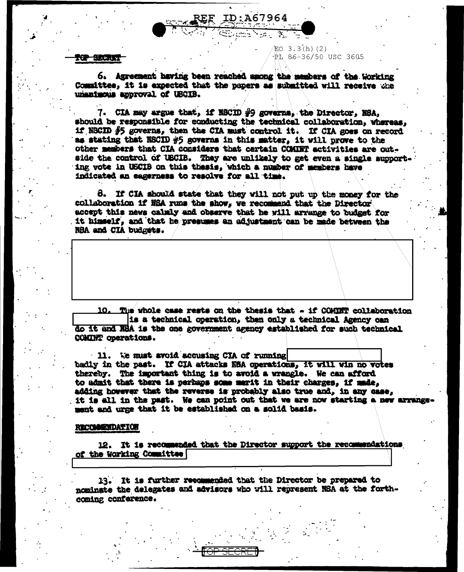#### <del>ier archai</del>

6. Agreement having been reached among the members of the Working Committee, it is expected that the papers as submitted will receive the unanimous approval of UBCIB.

ID: A67964  $\overline{1}$  ,  $\overline{1}$  ,  $\overline{1}$  ,  $\overline{1}$  ,  $\overline{1}$  ,  $\overline{1}$  ,  $\overline{1}$  ,  $\overline{1}$  ,  $\overline{1}$  ,  $\overline{1}$  ,  $\overline{1}$  ,  $\overline{1}$  ,  $\overline{1}$  ,  $\overline{1}$  ,  $\overline{1}$  ,  $\overline{1}$  ,  $\overline{1}$  ,  $\overline{1}$  ,  $\overline{1}$  ,  $\overline{1}$  ,

 $EO$  3.3(h)(2)

PL 86-36/50 USC 3605

7. CIA may argue that, if NSCID #9 governs, the Director. NSA. should be responsible for conducting the technical collaboration, whereas. if NSCID  $#5$  governs, then the CIA must control it. If CIA goes on record as stating that NSCID #5 governs in this matter, it will prove to the other members that CIA considers that certain COMINT activities are outside the control of USCIB. They are unlikely to get even a single supporting vote in USCIB on this thesis, which a number of members have indicated an eagerness to resolve for all time.

8. If CIA should state that they will not put up the money for the collaboration if NSA runs the show, we recommend that the Director accept this news calmly and observe that he will arrange to budget for it himself, and that he presumes an adjustment can be made between the NBA and CIA budgets.

The whole case rests on the thesis that - if COMINT collaboration 10. is a technical operation, then only a technical Akency can do it and NBA is the one government agency established for such technical COMINT operations.

11. We must avoid accusing CIA of running badly in the past. If CIA attacks N8A operations, it will win no votes thereby. The important thing is to avoid a wrangle. We can afford to admit that there is perhaps some merit in their charges. if made. adding however that the reverse is probably also true and, in any case, it is all in the past. We can point out that we are now starting a new arrangement and urge that it be established on a solid basis.

#### **RECOMMENDATION**

12. It is recommended that the Director support the recommendations of the Working Committee [

13. It is further recommended that the Director be prepared to nominate the delegates and advisors who will represent NSA at the forthcoming conference.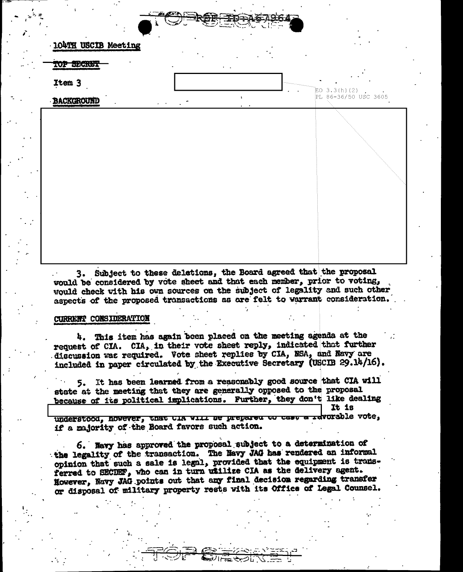|  | <b>7-TD-AGL</b>  |  |
|--|------------------|--|
|  | <b>The Story</b> |  |
|  |                  |  |

| 104TH USCIB Meeting |                          |                 | and a state                             |
|---------------------|--------------------------|-----------------|-----------------------------------------|
| TOP SECRET          |                          | $\sim$ $\sim$   |                                         |
| Item 3              |                          |                 |                                         |
| <b>BACKGROUND</b>   | $\omega_{\rm{max}}=0.01$ | t.<br>$\bullet$ | $ED 3.3(h) (2)$<br>PL 86-36/50 USC 3605 |
|                     |                          |                 |                                         |
|                     |                          |                 |                                         |
|                     |                          |                 |                                         |
|                     |                          |                 |                                         |
|                     |                          |                 |                                         |
|                     |                          |                 |                                         |
|                     |                          |                 |                                         |
|                     |                          |                 |                                         |

3. Subject to these deletions, the Board agreed that the proposal would be considered by vote sheet and that each member, prior to voting, would check with his own sources on the subject of legality and such other aspects of the proposed transactions as are felt to varrant consideration.

## CURRENT CONSIDERATION

4. This item has again been placed on the meeting agenda at the request of CIA. CIA, in their vote sheet reply, indicated that further discussion was required. Vote sheet replies by CIA, NSA, and Navy are included in paper circulated by the Executive Secretary (USCIB 29.14/16).

5. It has been learned from a reasonably good source that CIA will state at the meeting that they are generally opposed to the proposal because of its political implications. Further, they don't like dealing It is rdvorable vote.

understood, however, that the will be prepared to cast if a majority of the Board favors such action.

6. Navy has approved the proposal subject to a determination of the legality of the transaction. The Havy JAG has rendered an informal opinion that such a sale is legal, provided that the equipment is transferred to SECDEF, who can in turn willize CIA as the delivery agent. However, Navy JAG points out that any final decision regarding transfer or disposal of military property rests with its Office of Legal Counsel.